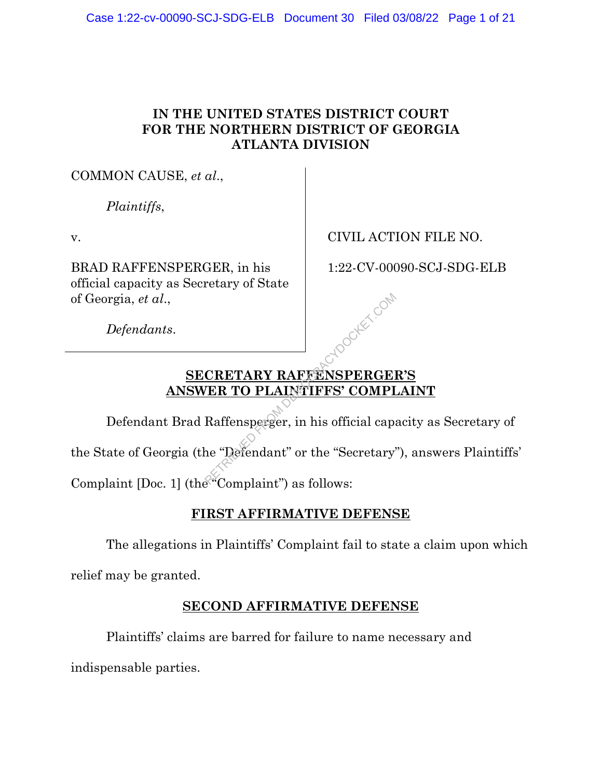### **IN THE UNITED STATES DISTRICT COURT FOR THE NORTHERN DISTRICT OF GEORGIA ATLANTA DIVISION**

COMMON CAUSE, *et al*.,

*Plaintiffs*,

v.

BRAD RAFFENSPERGER, in his official capacity as Secretary of State of Georgia, *et al*.,

CIVIL ACTION FILE NO.

1:22-CV-00090-SCJ-SDG-ELB

*Defendants*.

## **SECRETARY RAFFENSPERGER'S ANSWER TO PLAINTIFFS' COMPLAINT**

Defendant Brad Raffensperger, in his official capacity as Secretary of the State of Georgia (the "Defendant" or the "Secretary"), answers Plaintiffs' CRETARY RAFFENSPERGENTER TO PLAINTIFFS' COMPINENT COMPINER COMPINENT RAFFENSPERGENTER TO PLAINTIFFS' COMPI<br>Raffensperger, in his official capanier "Defendant" or the "Secretary"

Complaint [Doc. 1] (the "Complaint") as follows:

## **FIRST AFFIRMATIVE DEFENSE**

The allegations in Plaintiffs' Complaint fail to state a claim upon which

relief may be granted.

### **SECOND AFFIRMATIVE DEFENSE**

Plaintiffs' claims are barred for failure to name necessary and

indispensable parties.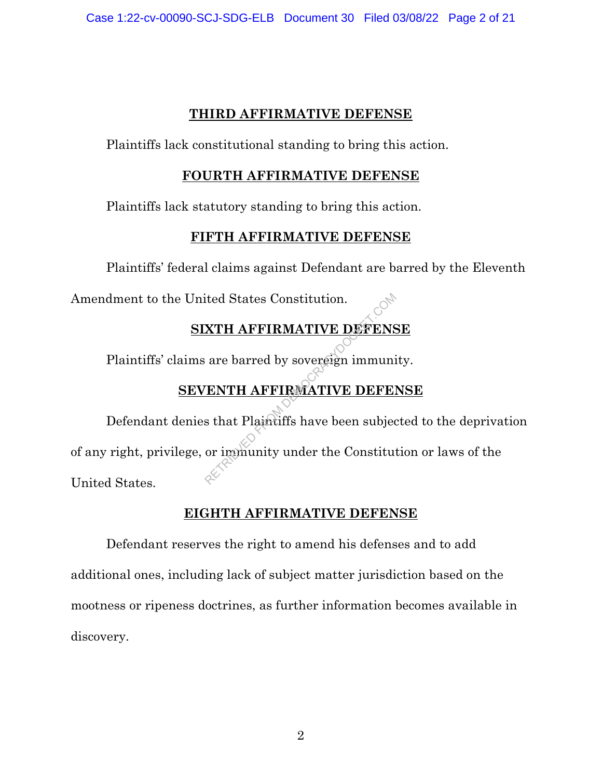#### **THIRD AFFIRMATIVE DEFENSE**

Plaintiffs lack constitutional standing to bring this action.

#### **FOURTH AFFIRMATIVE DEFENSE**

Plaintiffs lack statutory standing to bring this action.

### **FIFTH AFFIRMATIVE DEFENSE**

Plaintiffs' federal claims against Defendant are barred by the Eleventh

Amendment to the United States Constitution.

# **SIXTH AFFIRMATIVE DEFENSE**

Plaintiffs' claims are barred by sovereign immunity.

### **SEVENTH AFFIRMATIVE DEFENSE**

Defendant denies that Plaintiffs have been subjected to the deprivation of any right, privilege, or immunity under the Constitution or laws of the United States. RETRIEVED FROM ATTERNATIVE DEMOCRACY AT A RETRIEVED FROM A TIVE DEMOCRACY OF THE RETRIEVED OF THE SERVICE PRODUCED SUPERSED.<br>THE RETRIEVED OF THE SERVICE DEMOCRACY OF THE SERVICE DEMOCRACY OF THE SUBJECT OF THE MOCRATIVE D

### **EIGHTH AFFIRMATIVE DEFENSE**

Defendant reserves the right to amend his defenses and to add additional ones, including lack of subject matter jurisdiction based on the mootness or ripeness doctrines, as further information becomes available in discovery.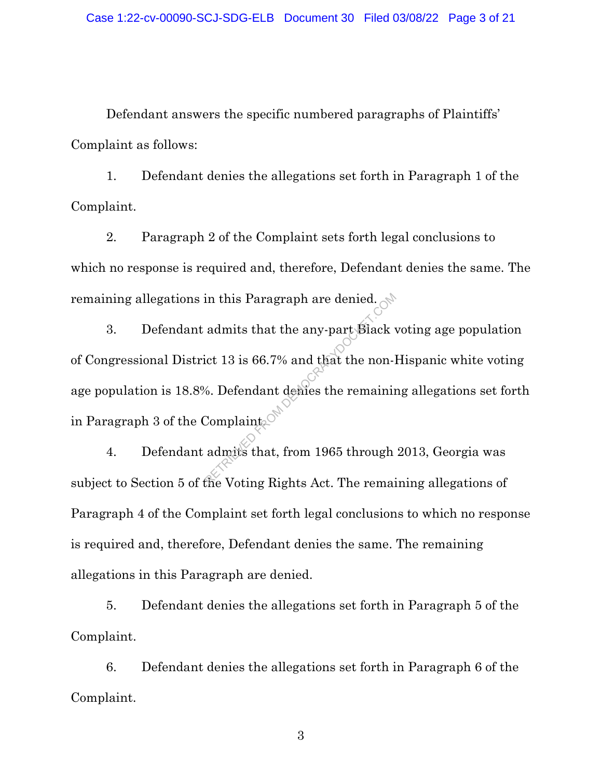Defendant answers the specific numbered paragraphs of Plaintiffs' Complaint as follows:

1. Defendant denies the allegations set forth in Paragraph 1 of the Complaint.

2. Paragraph 2 of the Complaint sets forth legal conclusions to which no response is required and, therefore, Defendant denies the same. The remaining allegations in this Paragraph are denied.

3. Defendant admits that the any-part Black voting age population of Congressional District 13 is 66.7% and that the non-Hispanic white voting age population is 18.8%. Defendant denies the remaining allegations set forth in Paragraph 3 of the Complaint. in this Paragraph are denied.<br>
admits that the any-part Black<br>
ict 13 is 66.7% and that the non-l<br>
6. Defendant demes the remaining<br>
complaints of the remain admits that, from 1965 through

4. Defendant admits that, from 1965 through 2013, Georgia was subject to Section 5 of the Voting Rights Act. The remaining allegations of Paragraph 4 of the Complaint set forth legal conclusions to which no response is required and, therefore, Defendant denies the same. The remaining allegations in this Paragraph are denied.

5. Defendant denies the allegations set forth in Paragraph 5 of the Complaint.

6. Defendant denies the allegations set forth in Paragraph 6 of the Complaint.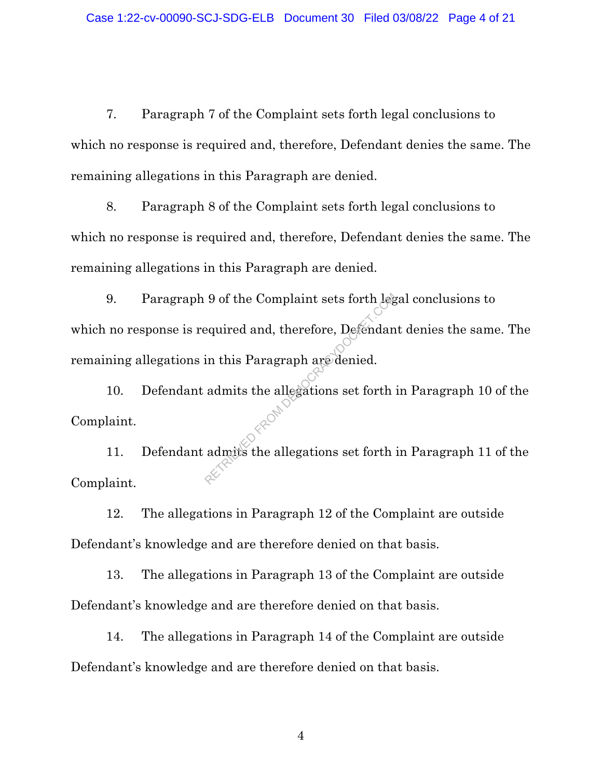7. Paragraph 7 of the Complaint sets forth legal conclusions to which no response is required and, therefore, Defendant denies the same. The remaining allegations in this Paragraph are denied.

8. Paragraph 8 of the Complaint sets forth legal conclusions to which no response is required and, therefore, Defendant denies the same. The remaining allegations in this Paragraph are denied.

9. Paragraph 9 of the Complaint sets forth legal conclusions to which no response is required and, therefore, Defendant denies the same. The remaining allegations in this Paragraph are denied. 9 of the Complaint sets forth leg<br>equired and, therefore, Defendant<br>in this Paragraph are denied.<br>admits the allegations set forth :<br>admits the allegations set forth :

10. Defendant admits the allegations set forth in Paragraph 10 of the Complaint.

11. Defendant admits the allegations set forth in Paragraph 11 of the Complaint.

12. The allegations in Paragraph 12 of the Complaint are outside Defendant's knowledge and are therefore denied on that basis.

13. The allegations in Paragraph 13 of the Complaint are outside Defendant's knowledge and are therefore denied on that basis.

14. The allegations in Paragraph 14 of the Complaint are outside Defendant's knowledge and are therefore denied on that basis.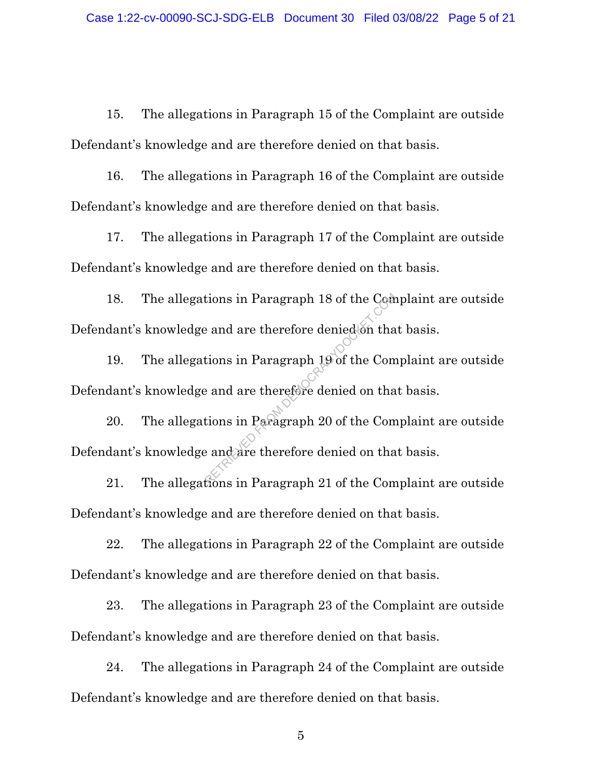15. The allegations in Paragraph 15 of the Complaint are outside Defendant's knowledge and are therefore denied on that basis.

16. The allegations in Paragraph 16 of the Complaint are outside Defendant's knowledge and are therefore denied on that basis.

17. The allegations in Paragraph 17 of the Complaint are outside Defendant's knowledge and are therefore denied on that basis.

18. The allegations in Paragraph 18 of the Complaint are outside Defendant's knowledge and are therefore denied on that basis. Example 18 of the Comparations in Paragraph 19 of the Comparations in Paragraph 19 of the Comparations in Paragraph 20 of the Comparations in Paragraph 21 of the Comparations in Paragraph 21 of the Comparations in Paragrap

19. The allegations in Paragraph 19 of the Complaint are outside Defendant's knowledge and are therefore denied on that basis.

20. The allegations in Paragraph 20 of the Complaint are outside Defendant's knowledge and are therefore denied on that basis.

21. The allegations in Paragraph 21 of the Complaint are outside Defendant's knowledge and are therefore denied on that basis.

22. The allegations in Paragraph 22 of the Complaint are outside Defendant's knowledge and are therefore denied on that basis.

23. The allegations in Paragraph 23 of the Complaint are outside Defendant's knowledge and are therefore denied on that basis.

24. The allegations in Paragraph 24 of the Complaint are outside Defendant's knowledge and are therefore denied on that basis.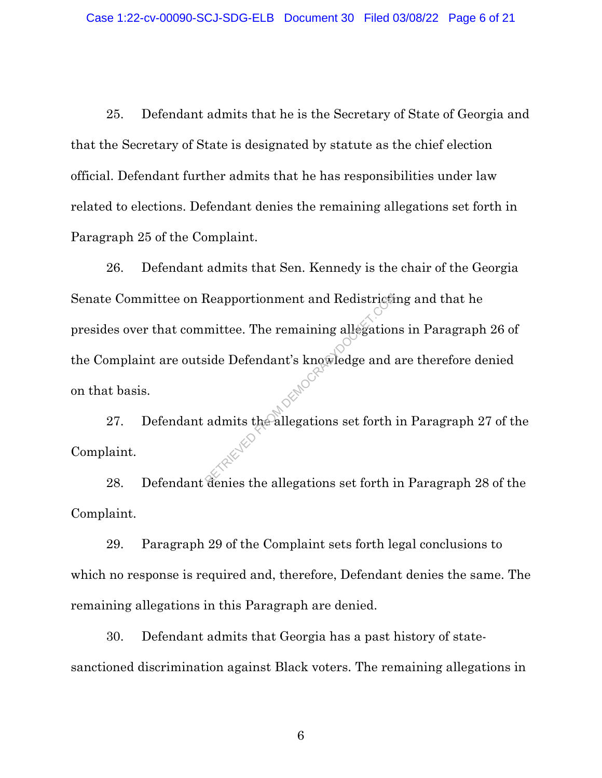25. Defendant admits that he is the Secretary of State of Georgia and that the Secretary of State is designated by statute as the chief election official. Defendant further admits that he has responsibilities under law related to elections. Defendant denies the remaining allegations set forth in Paragraph 25 of the Complaint.

26. Defendant admits that Sen. Kennedy is the chair of the Georgia Senate Committee on Reapportionment and Redistricting and that he presides over that committee. The remaining allegations in Paragraph 26 of the Complaint are outside Defendant's knowledge and are therefore denied on that basis. Reapportionment and Redistricties<br>
mittee. The remaining allegation<br>
side Defendant's knowledge and<br>
admits the allegations set forth is

27. Defendant admits the allegations set forth in Paragraph 27 of the Complaint.

28. Defendant denies the allegations set forth in Paragraph 28 of the Complaint.

29. Paragraph 29 of the Complaint sets forth legal conclusions to which no response is required and, therefore, Defendant denies the same. The remaining allegations in this Paragraph are denied.

30. Defendant admits that Georgia has a past history of statesanctioned discrimination against Black voters. The remaining allegations in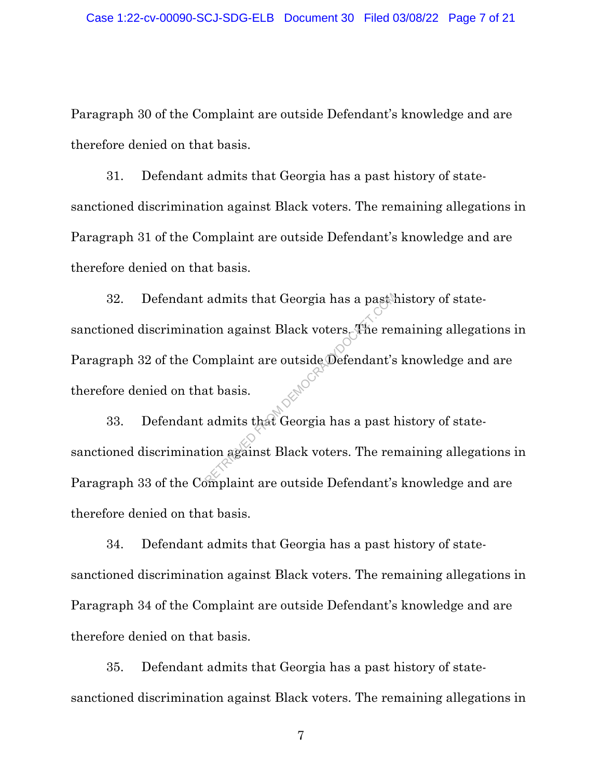Paragraph 30 of the Complaint are outside Defendant's knowledge and are therefore denied on that basis.

31. Defendant admits that Georgia has a past history of statesanctioned discrimination against Black voters. The remaining allegations in Paragraph 31 of the Complaint are outside Defendant's knowledge and are therefore denied on that basis.

32. Defendant admits that Georgia has a past history of statesanctioned discrimination against Black voters. The remaining allegations in Paragraph 32 of the Complaint are outside Defendant's knowledge and are therefore denied on that basis. admits that Georgia has a past lion against Black voters. The remomplaint are outside Defendant's<br>at basis.<br>admits that Georgia has a past lion against Black voters. The remomplaint are outside Defendant's

33. Defendant admits that Georgia has a past history of statesanctioned discrimination against Black voters. The remaining allegations in Paragraph 33 of the Complaint are outside Defendant's knowledge and are therefore denied on that basis.

34. Defendant admits that Georgia has a past history of statesanctioned discrimination against Black voters. The remaining allegations in Paragraph 34 of the Complaint are outside Defendant's knowledge and are therefore denied on that basis.

35. Defendant admits that Georgia has a past history of statesanctioned discrimination against Black voters. The remaining allegations in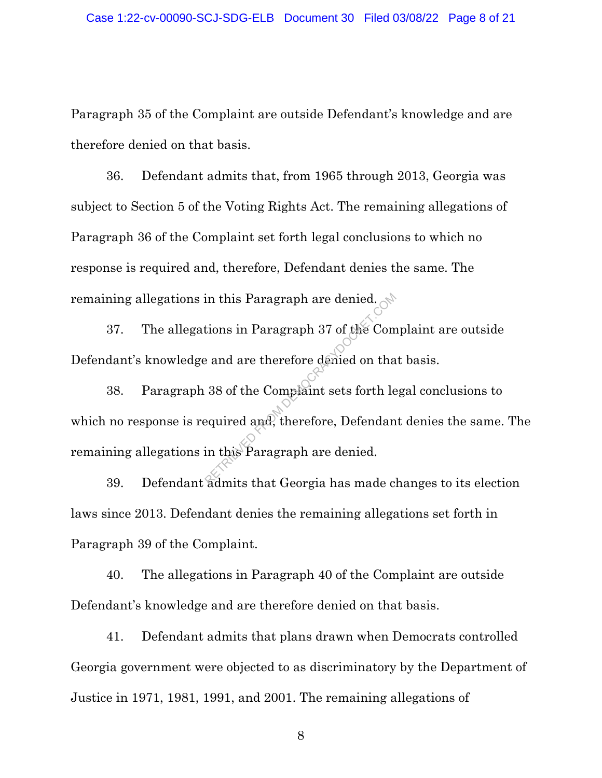Paragraph 35 of the Complaint are outside Defendant's knowledge and are therefore denied on that basis.

36. Defendant admits that, from 1965 through 2013, Georgia was subject to Section 5 of the Voting Rights Act. The remaining allegations of Paragraph 36 of the Complaint set forth legal conclusions to which no response is required and, therefore, Defendant denies the same. The remaining allegations in this Paragraph are denied.

37. The allegations in Paragraph 37 of the Complaint are outside Defendant's knowledge and are therefore denied on that basis.

38. Paragraph 38 of the Complaint sets forth legal conclusions to which no response is required and, therefore, Defendant denies the same. The remaining allegations in this Paragraph are denied. in this Paragraph are denied.<br>tions in Paragraph 37 of the Compared and are therefore denied on that<br>38 of the Complaint sets forth lengting and the equired and, therefore, Defendant<br>in this Paragraph are denied.

39. Defendant admits that Georgia has made changes to its election laws since 2013. Defendant denies the remaining allegations set forth in Paragraph 39 of the Complaint.

40. The allegations in Paragraph 40 of the Complaint are outside Defendant's knowledge and are therefore denied on that basis.

41. Defendant admits that plans drawn when Democrats controlled Georgia government were objected to as discriminatory by the Department of Justice in 1971, 1981, 1991, and 2001. The remaining allegations of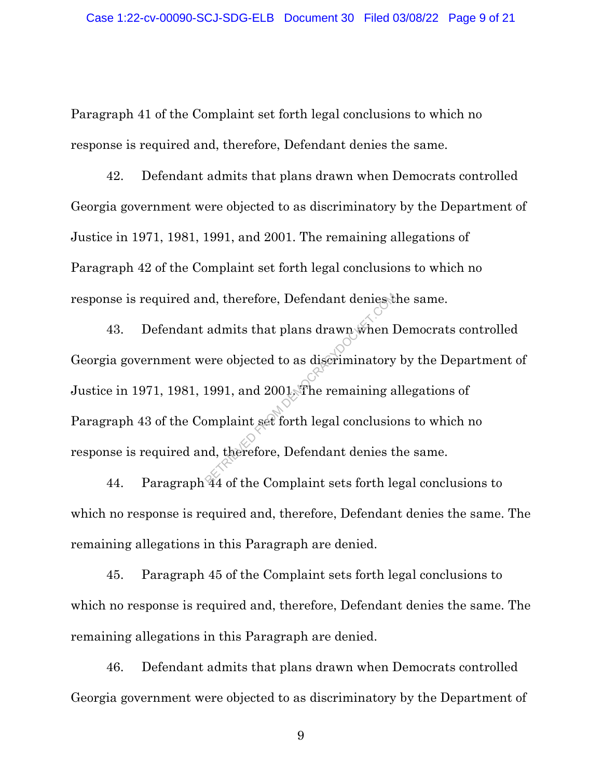Paragraph 41 of the Complaint set forth legal conclusions to which no response is required and, therefore, Defendant denies the same.

42. Defendant admits that plans drawn when Democrats controlled Georgia government were objected to as discriminatory by the Department of Justice in 1971, 1981, 1991, and 2001. The remaining allegations of Paragraph 42 of the Complaint set forth legal conclusions to which no response is required and, therefore, Defendant denies the same.

43. Defendant admits that plans drawn when Democrats controlled Georgia government were objected to as discriminatory by the Department of Justice in 1971, 1981, 1991, and 2001. The remaining allegations of Paragraph 43 of the Complaint set forth legal conclusions to which no response is required and, therefore, Defendant denies the same. nd, therefore, Defendant deniest<br>admits that plans drawn when I<br>ere objected to as discriminatory<br>1991, and 2001. The remaining a<br>omplaint set forth legal conclusion<br>of the Complaint sets forth le

44. Paragraph 44 of the Complaint sets forth legal conclusions to which no response is required and, therefore, Defendant denies the same. The remaining allegations in this Paragraph are denied.

45. Paragraph 45 of the Complaint sets forth legal conclusions to which no response is required and, therefore, Defendant denies the same. The remaining allegations in this Paragraph are denied.

46. Defendant admits that plans drawn when Democrats controlled Georgia government were objected to as discriminatory by the Department of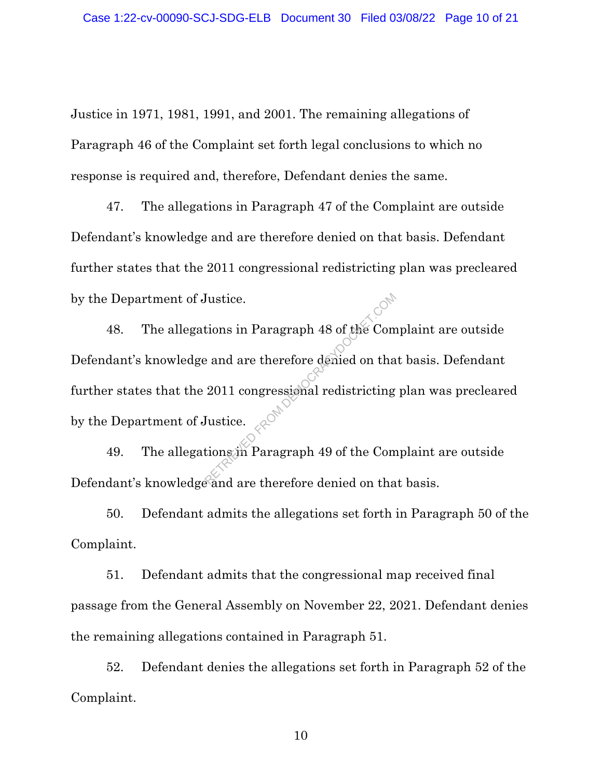Justice in 1971, 1981, 1991, and 2001. The remaining allegations of Paragraph 46 of the Complaint set forth legal conclusions to which no response is required and, therefore, Defendant denies the same.

47. The allegations in Paragraph 47 of the Complaint are outside Defendant's knowledge and are therefore denied on that basis. Defendant further states that the 2011 congressional redistricting plan was precleared by the Department of Justice.

48. The allegations in Paragraph 48 of the Complaint are outside Defendant's knowledge and are therefore denied on that basis. Defendant further states that the 2011 congressional redistricting plan was precleared by the Department of Justice. Fustice.<br>
Extions in Paragraph 48 of the Company<br>
and are therefore denied on tha<br>
2011 congressional redistricting<br>
Lustice.<br>
Example 2014 are therefore denied on the

49. The allegations in Paragraph 49 of the Complaint are outside Defendant's knowledge and are therefore denied on that basis.

50. Defendant admits the allegations set forth in Paragraph 50 of the Complaint.

51. Defendant admits that the congressional map received final passage from the General Assembly on November 22, 2021. Defendant denies the remaining allegations contained in Paragraph 51.

52. Defendant denies the allegations set forth in Paragraph 52 of the Complaint.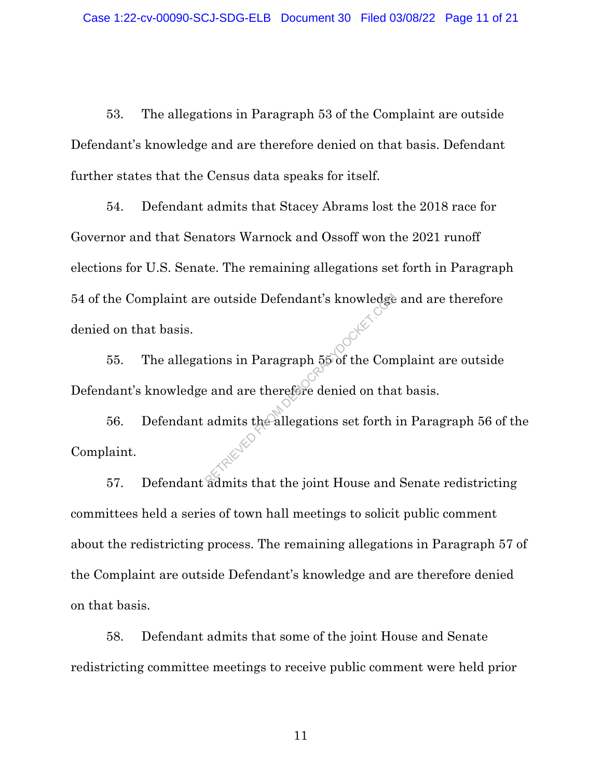53. The allegations in Paragraph 53 of the Complaint are outside Defendant's knowledge and are therefore denied on that basis. Defendant further states that the Census data speaks for itself.

54. Defendant admits that Stacey Abrams lost the 2018 race for Governor and that Senators Warnock and Ossoff won the 2021 runoff elections for U.S. Senate. The remaining allegations set forth in Paragraph 54 of the Complaint are outside Defendant's knowledge and are therefore denied on that basis.

55. The allegations in Paragraph 55 of the Complaint are outside Defendant's knowledge and are therefore denied on that basis.

56. Defendant admits the allegations set forth in Paragraph 56 of the Complaint. e outside Defendant's knowledge<br>tions in Paragraph 55 of the Com<br>e and are therefore denied on tha<br>admits the allegations set forth

57. Defendant admits that the joint House and Senate redistricting committees held a series of town hall meetings to solicit public comment about the redistricting process. The remaining allegations in Paragraph 57 of the Complaint are outside Defendant's knowledge and are therefore denied on that basis.

58. Defendant admits that some of the joint House and Senate redistricting committee meetings to receive public comment were held prior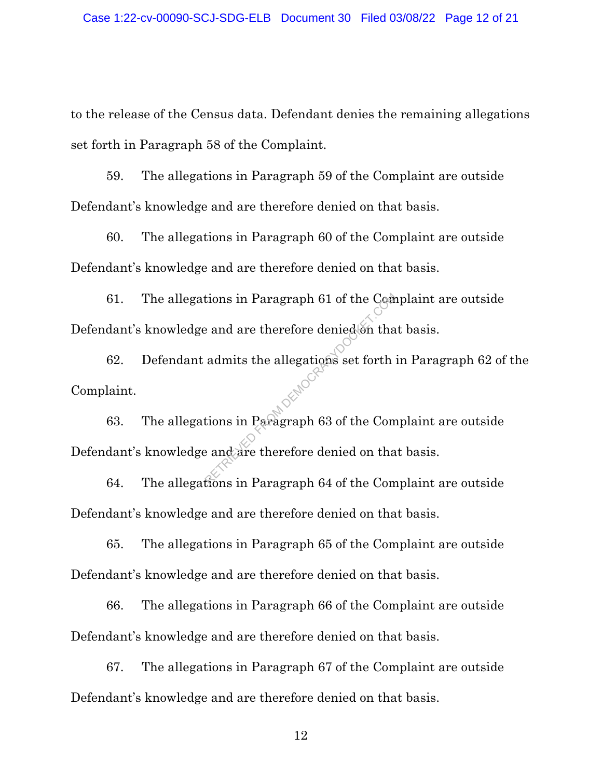to the release of the Census data. Defendant denies the remaining allegations set forth in Paragraph 58 of the Complaint.

59. The allegations in Paragraph 59 of the Complaint are outside Defendant's knowledge and are therefore denied on that basis.

60. The allegations in Paragraph 60 of the Complaint are outside Defendant's knowledge and are therefore denied on that basis.

61. The allegations in Paragraph 61 of the Complaint are outside Defendant's knowledge and are therefore denied on that basis.

62. Defendant admits the allegations set forth in Paragraph 62 of the Complaint. Example 61 of the Comparations in Paragraph 63 of the Comparations in Paragraph 63 of the Comparations in Paragraph 64 of the Comparations in Paragraph 64 of the Comparations in Paragraph 64 of the Comparations in Paragrap

63. The allegations in Paragraph 63 of the Complaint are outside Defendant's knowledge and are therefore denied on that basis.

64. The allegations in Paragraph 64 of the Complaint are outside Defendant's knowledge and are therefore denied on that basis.

65. The allegations in Paragraph 65 of the Complaint are outside Defendant's knowledge and are therefore denied on that basis.

66. The allegations in Paragraph 66 of the Complaint are outside Defendant's knowledge and are therefore denied on that basis.

67. The allegations in Paragraph 67 of the Complaint are outside Defendant's knowledge and are therefore denied on that basis.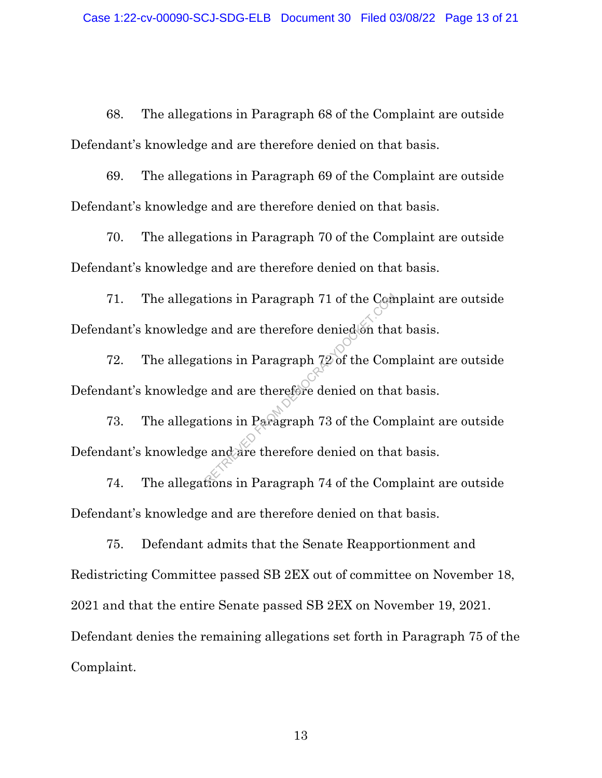68. The allegations in Paragraph 68 of the Complaint are outside Defendant's knowledge and are therefore denied on that basis.

69. The allegations in Paragraph 69 of the Complaint are outside Defendant's knowledge and are therefore denied on that basis.

70. The allegations in Paragraph 70 of the Complaint are outside Defendant's knowledge and are therefore denied on that basis.

71. The allegations in Paragraph 71 of the Complaint are outside Defendant's knowledge and are therefore denied on that basis. Example 71 of the Comparations in Paragraph 72 of the Comparations in Paragraph 72 of the Comparations in Paragraph 73 of the Comparations in Paragraph 74 of the Comparations in Paragraph 74 of the Comparations in Paragrap

72. The allegations in Paragraph 72 of the Complaint are outside Defendant's knowledge and are therefore denied on that basis.

73. The allegations in Paragraph 73 of the Complaint are outside Defendant's knowledge and are therefore denied on that basis.

74. The allegations in Paragraph 74 of the Complaint are outside Defendant's knowledge and are therefore denied on that basis.

75. Defendant admits that the Senate Reapportionment and Redistricting Committee passed SB 2EX out of committee on November 18, 2021 and that the entire Senate passed SB 2EX on November 19, 2021. Defendant denies the remaining allegations set forth in Paragraph 75 of the Complaint.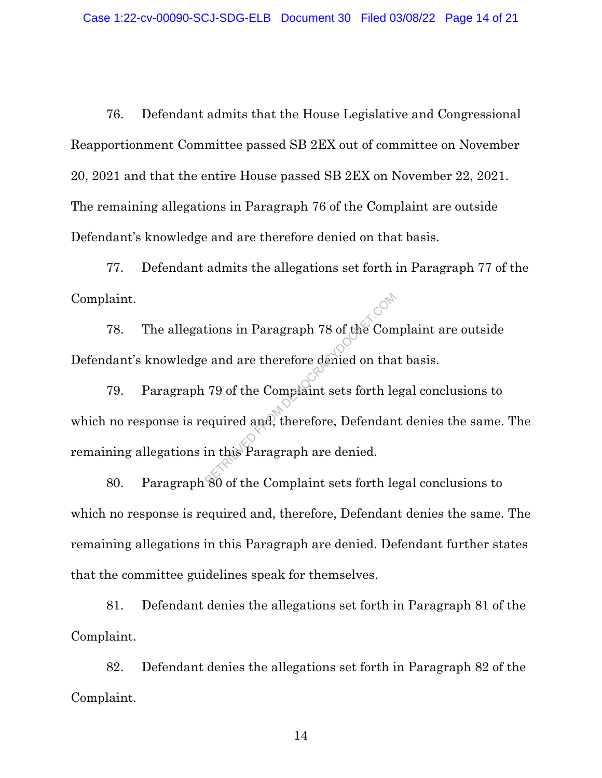76. Defendant admits that the House Legislative and Congressional Reapportionment Committee passed SB 2EX out of committee on November 20, 2021 and that the entire House passed SB 2EX on November 22, 2021. The remaining allegations in Paragraph 76 of the Complaint are outside Defendant's knowledge and are therefore denied on that basis.

77. Defendant admits the allegations set forth in Paragraph 77 of the Complaint.

78. The allegations in Paragraph 78 of the Complaint are outside Defendant's knowledge and are therefore denied on that basis.

79. Paragraph 79 of the Complaint sets forth legal conclusions to which no response is required and, therefore, Defendant denies the same. The remaining allegations in this Paragraph are denied. From Democrations in Paragraph 78 of the Composite Contractors and are therefore denied on that<br>The Complaint sets forth length and the Paragraph are denied.

80. Paragraph 80 of the Complaint sets forth legal conclusions to which no response is required and, therefore, Defendant denies the same. The remaining allegations in this Paragraph are denied. Defendant further states that the committee guidelines speak for themselves.

81. Defendant denies the allegations set forth in Paragraph 81 of the Complaint.

82. Defendant denies the allegations set forth in Paragraph 82 of the Complaint.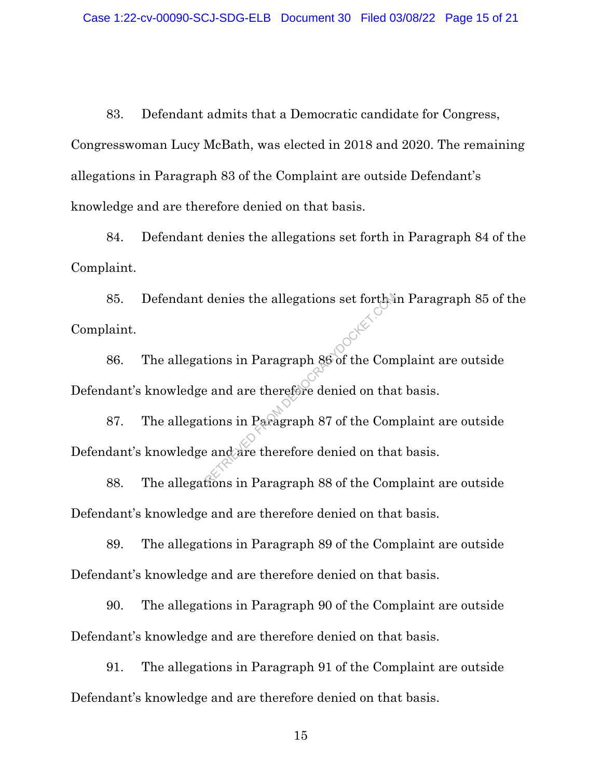83. Defendant admits that a Democratic candidate for Congress, Congresswoman Lucy McBath, was elected in 2018 and 2020. The remaining allegations in Paragraph 83 of the Complaint are outside Defendant's knowledge and are therefore denied on that basis.

84. Defendant denies the allegations set forth in Paragraph 84 of the Complaint.

85. Defendant denies the allegations set forth in Paragraph 85 of the Complaint. denies the allegations set forther<br>tions in Paragraph 86 of the Come<br>and are therefore denied on tha<br>tions in Paragraph 87 of the Come<br>fions in Paragraph 88 of the Com

86. The allegations in Paragraph 86 of the Complaint are outside Defendant's knowledge and are therefore denied on that basis.

87. The allegations in Paragraph 87 of the Complaint are outside Defendant's knowledge and are therefore denied on that basis.

88. The allegations in Paragraph 88 of the Complaint are outside Defendant's knowledge and are therefore denied on that basis.

89. The allegations in Paragraph 89 of the Complaint are outside Defendant's knowledge and are therefore denied on that basis.

90. The allegations in Paragraph 90 of the Complaint are outside Defendant's knowledge and are therefore denied on that basis.

91. The allegations in Paragraph 91 of the Complaint are outside Defendant's knowledge and are therefore denied on that basis.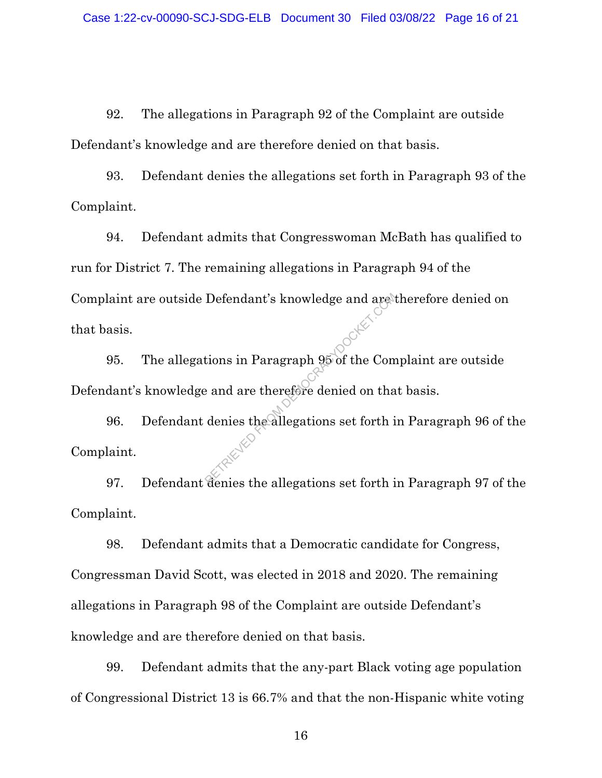92. The allegations in Paragraph 92 of the Complaint are outside Defendant's knowledge and are therefore denied on that basis.

93. Defendant denies the allegations set forth in Paragraph 93 of the Complaint.

94. Defendant admits that Congresswoman McBath has qualified to run for District 7. The remaining allegations in Paragraph 94 of the Complaint are outside Defendant's knowledge and are therefore denied on that basis.

95. The allegations in Paragraph 95 of the Complaint are outside Defendant's knowledge and are therefore denied on that basis.

96. Defendant denies the allegations set forth in Paragraph 96 of the Complaint. Defendant's knowledge and are therefore<br>tions in Paragraph 95 of the Come<br>and are therefore denied on tha<br>denies the allegations set forth is

97. Defendant denies the allegations set forth in Paragraph 97 of the Complaint.

98. Defendant admits that a Democratic candidate for Congress, Congressman David Scott, was elected in 2018 and 2020. The remaining allegations in Paragraph 98 of the Complaint are outside Defendant's knowledge and are therefore denied on that basis.

99. Defendant admits that the any-part Black voting age population of Congressional District 13 is 66.7% and that the non-Hispanic white voting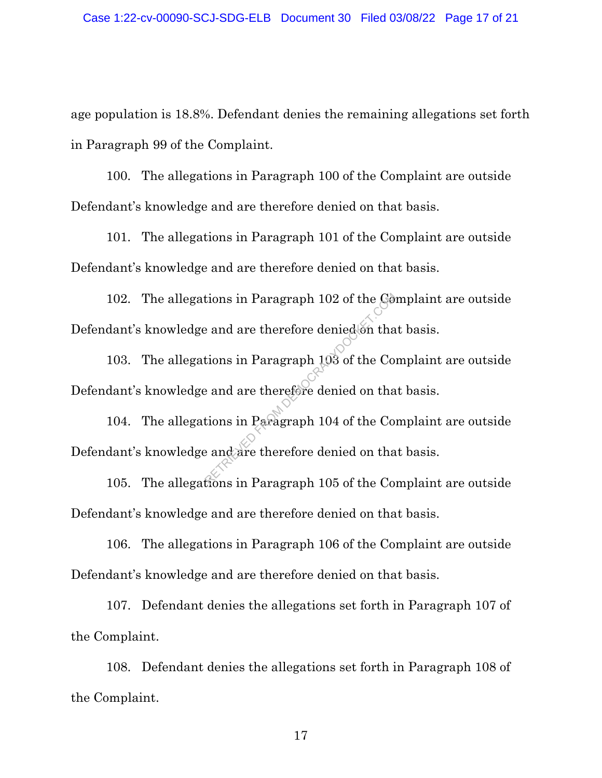age population is 18.8%. Defendant denies the remaining allegations set forth in Paragraph 99 of the Complaint.

100. The allegations in Paragraph 100 of the Complaint are outside Defendant's knowledge and are therefore denied on that basis.

101. The allegations in Paragraph 101 of the Complaint are outside Defendant's knowledge and are therefore denied on that basis.

102. The allegations in Paragraph 102 of the Complaint are outside Defendant's knowledge and are therefore denied on that basis. Example 102 of the Government<br>
Example 2013 of the Contains in Paragraph<br>
Example 2013 of the Contains in Paragraph<br>
Example 104 of the Contains in Paragraph<br>
Example 105 of the Contains in Paragraph<br>
Example 105 of the Co

103. The allegations in Paragraph 103 of the Complaint are outside Defendant's knowledge and are therefore denied on that basis.

104. The allegations in Paragraph 104 of the Complaint are outside Defendant's knowledge and are therefore denied on that basis.

105. The allegations in Paragraph 105 of the Complaint are outside Defendant's knowledge and are therefore denied on that basis.

106. The allegations in Paragraph 106 of the Complaint are outside Defendant's knowledge and are therefore denied on that basis.

107. Defendant denies the allegations set forth in Paragraph 107 of the Complaint.

108. Defendant denies the allegations set forth in Paragraph 108 of the Complaint.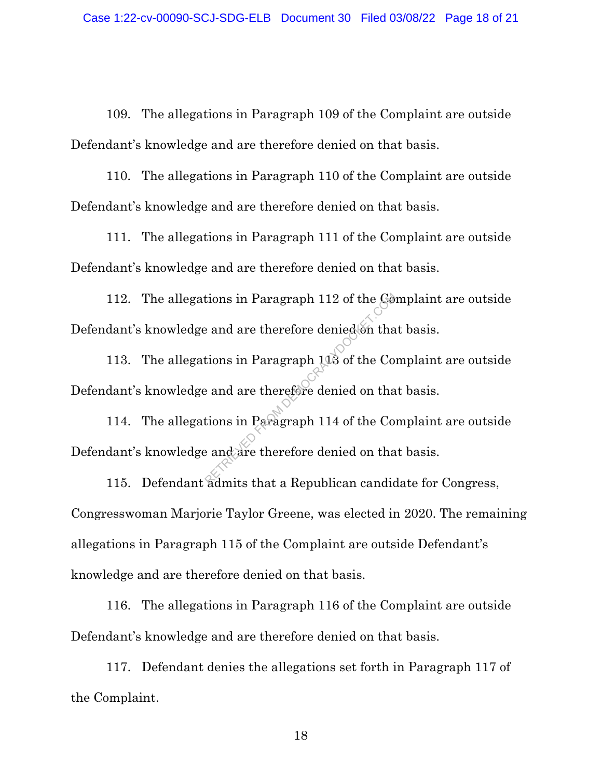109. The allegations in Paragraph 109 of the Complaint are outside Defendant's knowledge and are therefore denied on that basis.

110. The allegations in Paragraph 110 of the Complaint are outside Defendant's knowledge and are therefore denied on that basis.

111. The allegations in Paragraph 111 of the Complaint are outside Defendant's knowledge and are therefore denied on that basis.

112. The allegations in Paragraph 112 of the Complaint are outside Defendant's knowledge and are therefore denied on that basis. Example 112 of the Gotal<br>Example 2 and are therefore denied on that<br>Example 113 of the Comparations in Paragraph 114 of the Comparations in Paragraph 114 of the Comparation<br>Examples the comparation of the Sample 12 and 2 a

113. The allegations in Paragraph 113 of the Complaint are outside Defendant's knowledge and are therefore denied on that basis.

114. The allegations in Paragraph 114 of the Complaint are outside Defendant's knowledge and are therefore denied on that basis.

115. Defendant admits that a Republican candidate for Congress, Congresswoman Marjorie Taylor Greene, was elected in 2020. The remaining allegations in Paragraph 115 of the Complaint are outside Defendant's knowledge and are therefore denied on that basis.

116. The allegations in Paragraph 116 of the Complaint are outside Defendant's knowledge and are therefore denied on that basis.

117. Defendant denies the allegations set forth in Paragraph 117 of the Complaint.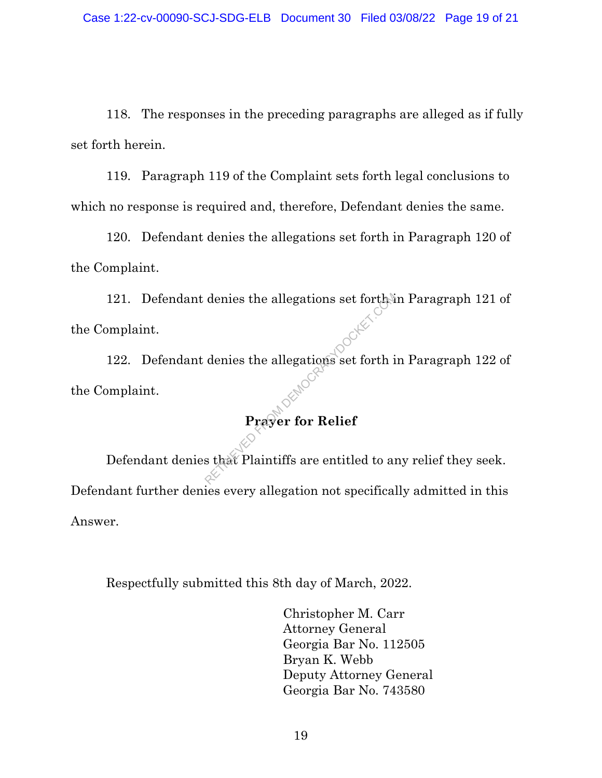118. The responses in the preceding paragraphs are alleged as if fully set forth herein.

119. Paragraph 119 of the Complaint sets forth legal conclusions to which no response is required and, therefore, Defendant denies the same.

120. Defendant denies the allegations set forth in Paragraph 120 of the Complaint.

121. Defendant denies the allegations set forth in Paragraph 121 of the Complaint.

122. Defendant denies the allegations set forth in Paragraph 122 of the Complaint. denies the allegations set forth is denies the allegations set forth if  $\mathbf{Pra}$  which is that Plaintiffs are entitled to an

# **Prayer for Relief**

Defendant denies that Plaintiffs are entitled to any relief they seek. Defendant further denies every allegation not specifically admitted in this Answer.

Respectfully submitted this 8th day of March, 2022.

Christopher M. Carr Attorney General Georgia Bar No. 112505 Bryan K. Webb Deputy Attorney General Georgia Bar No. 743580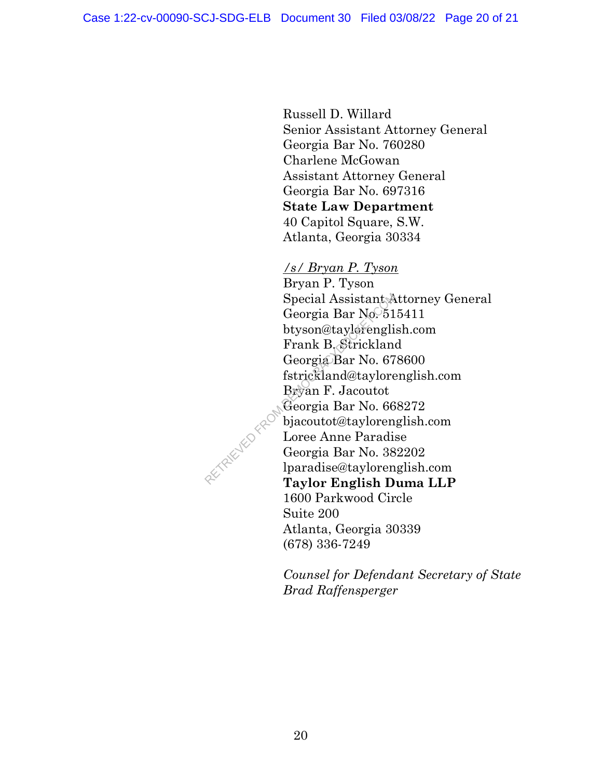Russell D. Willard Senior Assistant Attorney General Georgia Bar No. 760280 Charlene McGowan Assistant Attorney General Georgia Bar No. 697316 **State Law Department**  40 Capitol Square, S.W. Atlanta, Georgia 30334

*/s/ Bryan P. Tyson* Bryan P. Tyson Special Assistant Attorney General Georgia Bar No. 515411 btyson@taylorenglish.com Frank B. Strickland Georgia Bar No. 678600 fstrickland@taylorenglish.com Bryan F. Jacoutot Georgia Bar No. 668272 bjacoutot@taylorenglish.com Loree Anne Paradise Georgia Bar No. 382202 lparadise@taylorenglish.com **Taylor English Duma LLP**  1600 Parkwood Circle Suite 200 Atlanta, Georgia 30339 (678) 336-7249 Special Assistant A<br>
Georgia Bar No. 51<br>
btyson@taylerengli<br>
Frank B. Strickland<br>
Georgia Bar No. 67<br>
fstrickland@taylore<br>
Bryan F. Jacoutot<br>
Georgia Bar No. 66<br>
bjacoutot@tayloren<br>
Loree Anne Paradis<br>
Georgia Bar No. 38<br>

> *Counsel for Defendant Secretary of State Brad Raffensperger*